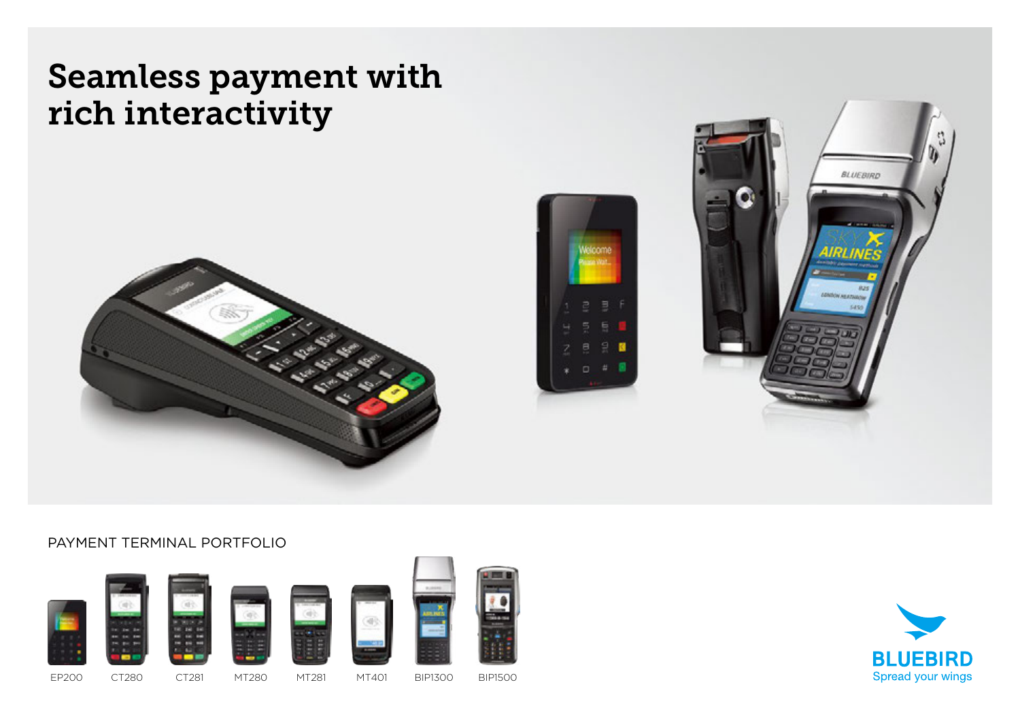## Seamless payment with rich interactivity







#### PAYMENT TERMINAL PORTFOLIO



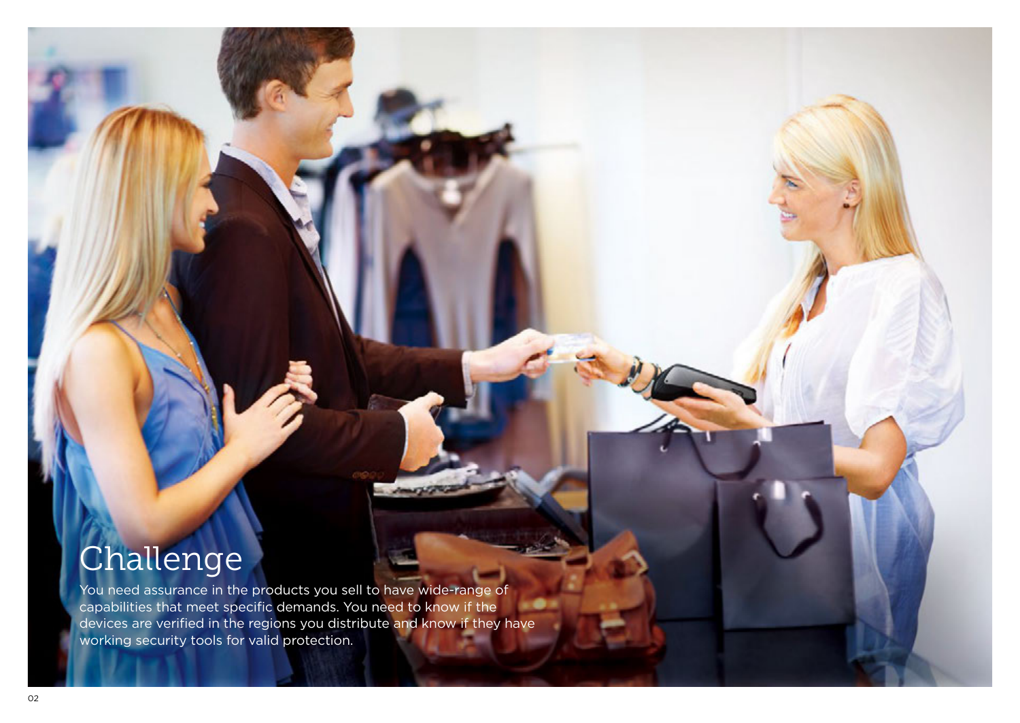# Challenge

You need assurance in the products you sell to have wide-range of capabilities that meet specific demands. You need to know if the œ devices are verified in the regions you distribute and know if they have working security tools for valid protection.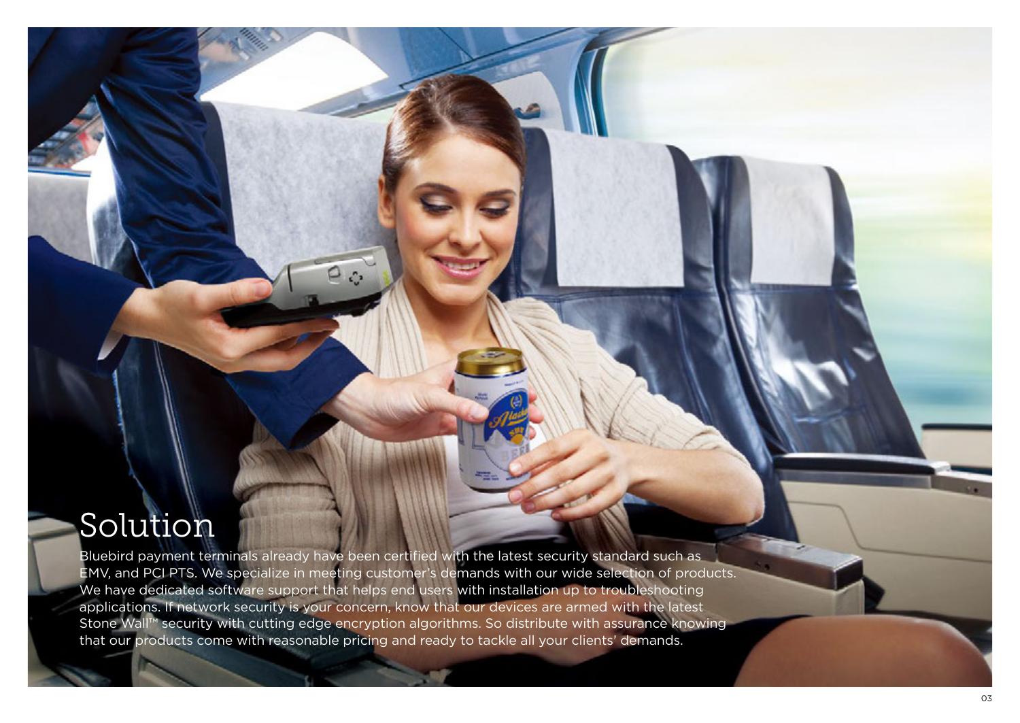## Solution

Bluebird payment terminals already have been certified with the latest security standard such as EMV, and PCI PTS. We specialize in meeting customer's demands with our wide selection of products. We have dedicated software support that helps end users with installation up to troubleshooting applications. If network security is your concern, know that our devices are armed with the latest Stone Wall™ security with cutting edge encryption algorithms. So distribute with assurance knowing that our products come with reasonable pricing and ready to tackle all your clients' demands.

 $\rho_{\odot}$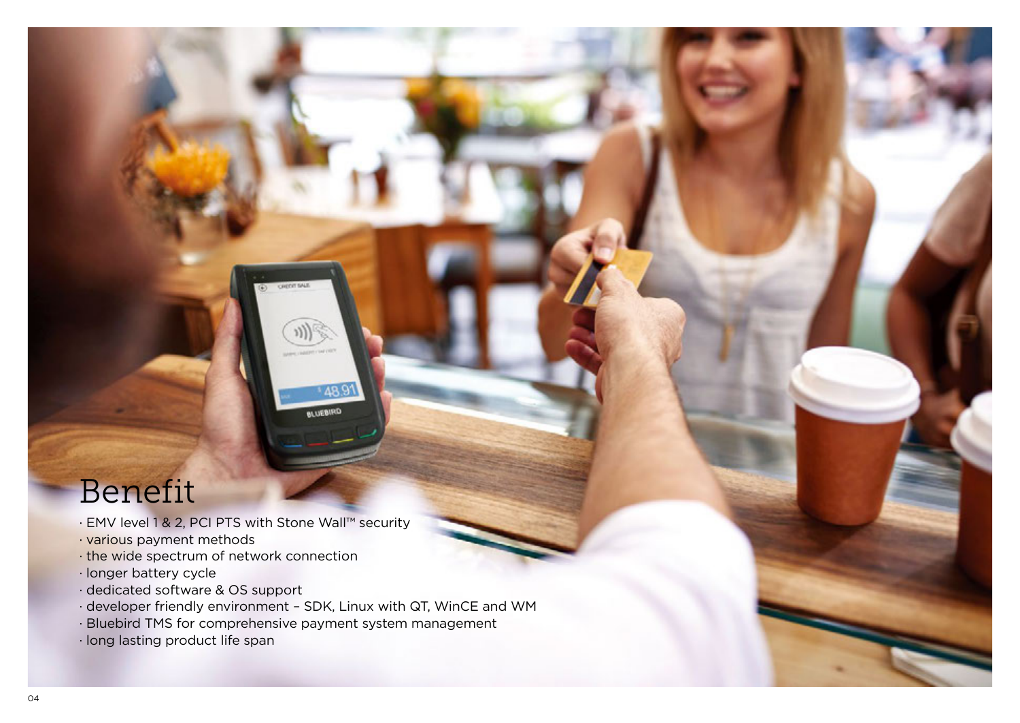### Benefit

- · EMV level 1 & 2, PCI PTS with Stone Wall™ security
- · various payment methods
- · the wide spectrum of network connection
- · longer battery cycle
- · dedicated software & OS support
- · developer friendly environment SDK, Linux with QT, WinCE and WM

489 BLUEBIRD

- · Bluebird TMS for comprehensive payment system management
- · long lasting product life span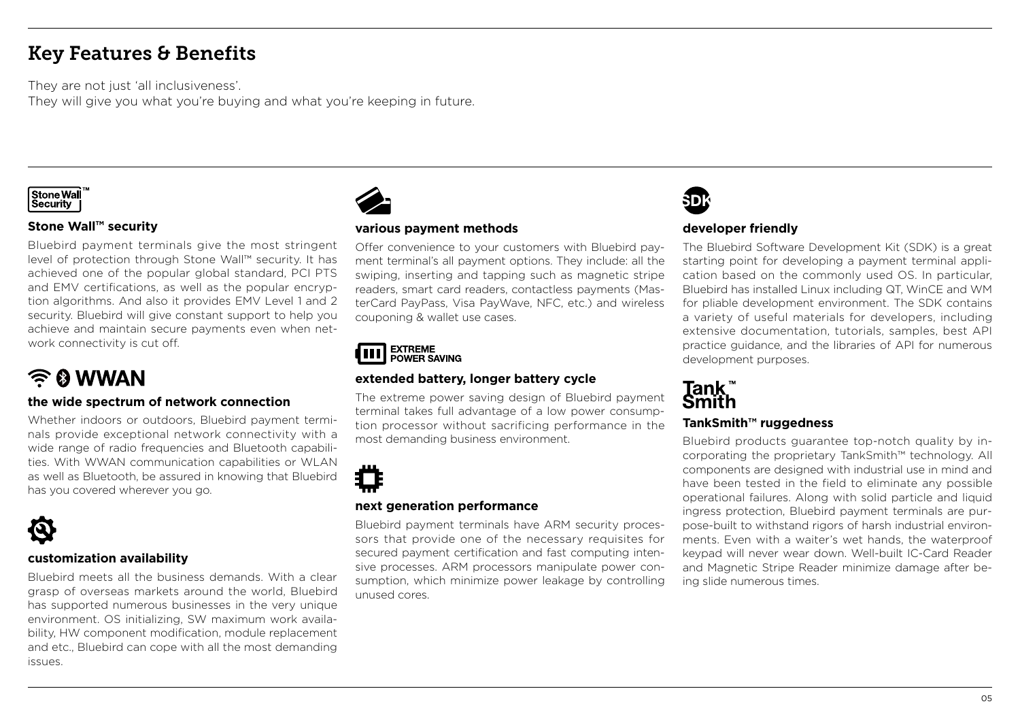### Key Features & Benefits

They are not just 'all inclusiveness'.

They will give you what you're buying and what you're keeping in future.



#### **Stone Wall™ security**

Bluebird payment terminals give the most stringent level of protection through Stone Wall™ security. It has achieved one of the popular global standard, PCI PTS and EMV certifications, as well as the popular encryption algorithms. And also it provides EMV Level 1 and 2 security. Bluebird will give constant support to help you achieve and maintain secure payments even when network connectivity is cut off.

### $\widehat{\mathbb{R}}$  & WWAN

#### **the wide spectrum of network connection**

Whether indoors or outdoors, Bluebird payment terminals provide exceptional network connectivity with a wide range of radio frequencies and Bluetooth capabilities. With WWAN communication capabilities or WLAN as well as Bluetooth, be assured in knowing that Bluebird has you covered wherever you go.



#### **customization availability**

Bluebird meets all the business demands. With a clear grasp of overseas markets around the world, Bluebird has supported numerous businesses in the very unique environment. OS initializing, SW maximum work availability, HW component modification, module replacement and etc., Bluebird can cope with all the most demanding issues.



#### **various payment methods**

Offer convenience to your customers with Bluebird payment terminal's all payment options. They include: all the swiping, inserting and tapping such as magnetic stripe readers, smart card readers, contactless payments (MasterCard PayPass, Visa PayWave, NFC, etc.) and wireless couponing & wallet use cases.

### **EXTREME<br>POWER SAVING**

#### **extended battery, longer battery cycle**

The extreme power saving design of Bluebird payment terminal takes full advantage of a low power consumption processor without sacrificing performance in the most demanding business environment.



#### **next generation performance**

Bluebird payment terminals have ARM security processors that provide one of the necessary requisites for secured payment certification and fast computing intensive processes. ARM processors manipulate power consumption, which minimize power leakage by controlling unused cores.



#### **developer friendly**

The Bluebird Software Development Kit (SDK) is a great starting point for developing a payment terminal application based on the commonly used OS. In particular, Bluebird has installed Linux including QT, WinCE and WM for pliable development environment. The SDK contains a variety of useful materials for developers, including extensive documentation, tutorials, samples, best API practice guidance, and the libraries of API for numerous development purposes.

## Tank<sup>"</sup><br>Smith

#### **TankSmith™ ruggedness**

Bluebird products guarantee top-notch quality by incorporating the proprietary TankSmith™ technology. All components are designed with industrial use in mind and have been tested in the field to eliminate any possible operational failures. Along with solid particle and liquid ingress protection, Bluebird payment terminals are purpose-built to withstand rigors of harsh industrial environments. Even with a waiter's wet hands, the waterproof keypad will never wear down. Well-built IC-Card Reader and Magnetic Stripe Reader minimize damage after being slide numerous times.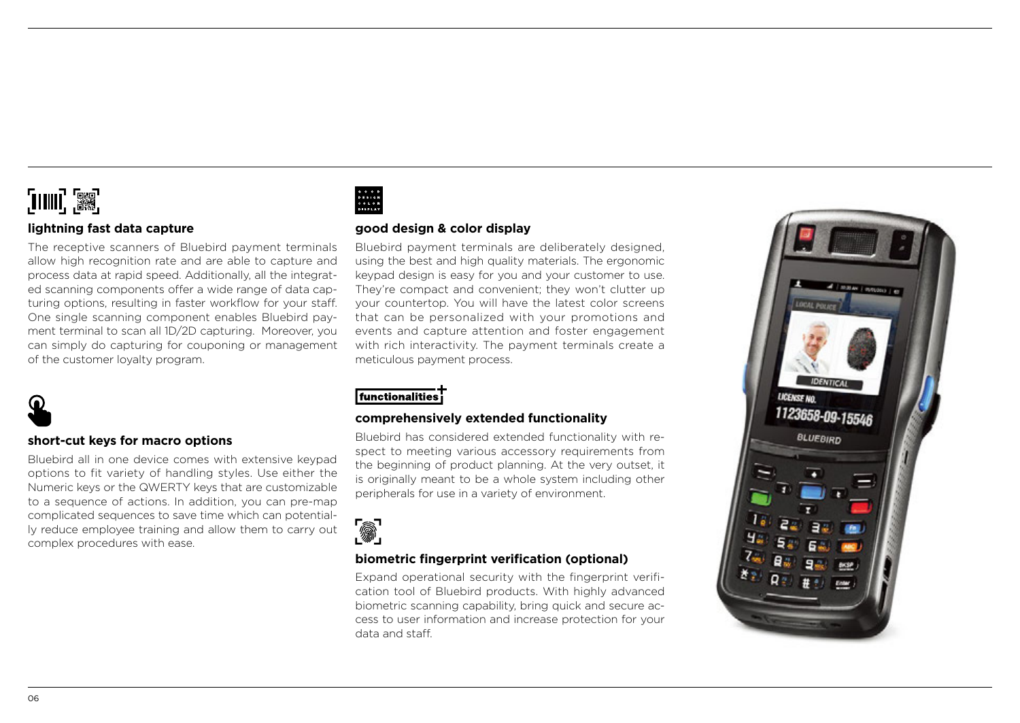### [IIII] 33

#### **lightning fast data capture**

The receptive scanners of Bluebird payment terminals allow high recognition rate and are able to capture and process data at rapid speed. Additionally, all the integrated scanning components offer a wide range of data capturing options, resulting in faster workflow for your staff. One single scanning component enables Bluebird payment terminal to scan all 1D/2D capturing. Moreover, you can simply do capturing for couponing or management of the customer loyalty program.



#### **short-cut keys for macro options**

Bluebird all in one device comes with extensive keypad options to fit variety of handling styles. Use either the Numeric keys or the QWERTY keys that are customizable to a sequence of actions. In addition, you can pre-map complicated sequences to save time which can potentially reduce employee training and allow them to carry out complex procedures with ease.

GOOD<br>DESIGN<br>COLOR<br>DISPLAY

#### **good design & color display**

Bluebird payment terminals are deliberately designed, using the best and high quality materials. The ergonomic keypad design is easy for you and your customer to use. They're compact and convenient; they won't clutter up your countertop. You will have the latest color screens that can be personalized with your promotions and events and capture attention and foster engagement with rich interactivity. The payment terminals create a meticulous payment process.

#### functionalities

#### **comprehensively extended functionality**

Bluebird has considered extended functionality with respect to meeting various accessory requirements from the beginning of product planning. At the very outset, it is originally meant to be a whole system including other peripherals for use in a variety of environment.



#### **biometric fingerprint verification (optional)**

Expand operational security with the fingerprint verification tool of Bluebird products. With highly advanced biometric scanning capability, bring quick and secure access to user information and increase protection for your data and staff.

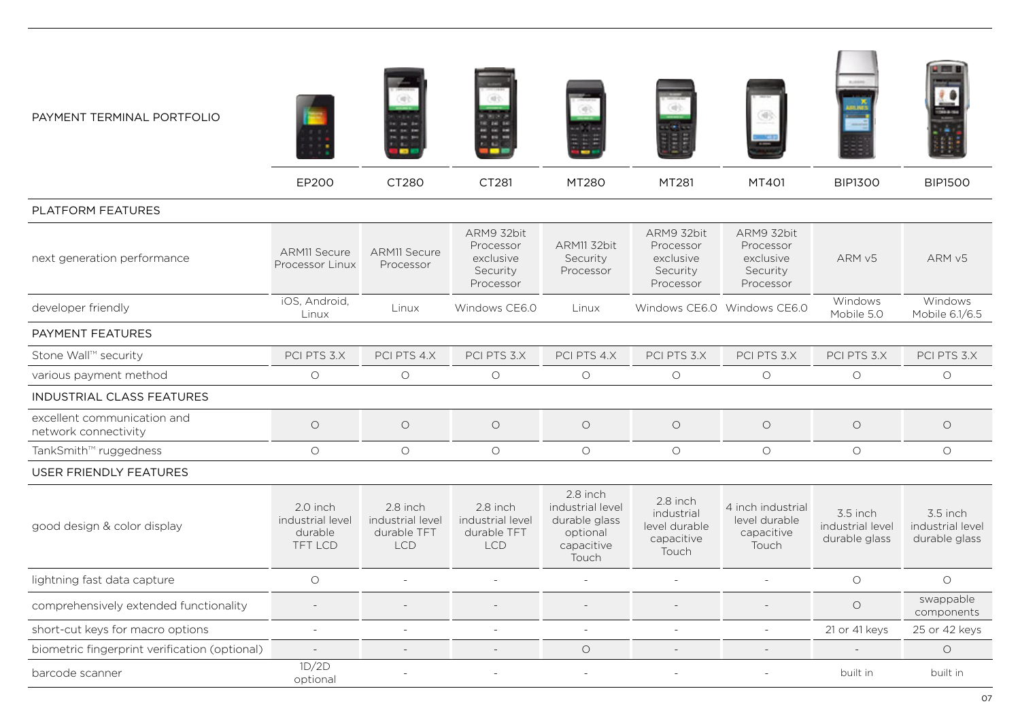

| next generation performance                         | <b>ARM11 Secure</b><br>Processor Linux             | <b>ARM11 Secure</b><br>Processor                          | ARM9 32bit<br>Processor<br>exclusive<br>Security<br>Processor | ARM11 32bit<br>Security<br>Processor                                             | ARM9 32bit<br>Processor<br>exclusive<br>Security<br>Processor  | ARM9 32bit<br>Processor<br>exclusive<br>Security<br>Processor | ARM <sub>v5</sub>                             | ARM <sub>v5</sub>                             |
|-----------------------------------------------------|----------------------------------------------------|-----------------------------------------------------------|---------------------------------------------------------------|----------------------------------------------------------------------------------|----------------------------------------------------------------|---------------------------------------------------------------|-----------------------------------------------|-----------------------------------------------|
| developer friendly                                  | iOS, Android,<br>Linux                             | Linux                                                     | Windows CE6.0                                                 | Linux                                                                            |                                                                | Windows CE6.0 Windows CE6.0                                   | Windows<br>Mobile 5.0                         | Windows<br>Mobile 6.1/6.5                     |
| PAYMENT FEATURES                                    |                                                    |                                                           |                                                               |                                                                                  |                                                                |                                                               |                                               |                                               |
| Stone Wall™ security                                | PCI PTS 3.X                                        | PCI PTS 4.X                                               | PCI PTS 3.X                                                   | PCI PTS 4.X                                                                      | PCI PTS 3.X                                                    | PCI PTS 3.X                                                   | PCI PTS 3.X                                   | PCI PTS 3.X                                   |
| various payment method                              | $\circ$                                            | $\circ$                                                   | $\circ$                                                       | $\circ$                                                                          | $\circ$                                                        | $\circ$                                                       | $\circ$                                       | $\circ$                                       |
| <b>INDUSTRIAL CLASS FEATURES</b>                    |                                                    |                                                           |                                                               |                                                                                  |                                                                |                                                               |                                               |                                               |
| excellent communication and<br>network connectivity | $\circ$                                            | $\circ$                                                   | $\circ$                                                       | $\circ$                                                                          | $\circ$                                                        | $\circ$                                                       | $\circ$                                       | $\circ$                                       |
| TankSmith™ ruggedness                               | $\circ$                                            | $\circ$                                                   | $\circ$                                                       | $\circ$                                                                          | $\circ$                                                        | $\circ$                                                       | $\circ$                                       | $\circ$                                       |
| <b>USER FRIENDLY FEATURES</b>                       |                                                    |                                                           |                                                               |                                                                                  |                                                                |                                                               |                                               |                                               |
| good design & color display                         | 2.0 inch<br>industrial level<br>durable<br>TFT LCD | 2.8 inch<br>industrial level<br>durable TFT<br><b>LCD</b> | 2.8 inch<br>industrial level<br>durable TFT<br><b>LCD</b>     | 2.8 inch<br>industrial level<br>durable glass<br>optional<br>capacitive<br>Touch | 2.8 inch<br>industrial<br>level durable<br>capacitive<br>Touch | 4 inch industrial<br>level durable<br>capacitive<br>Touch     | 3.5 inch<br>industrial level<br>durable glass | 3.5 inch<br>industrial level<br>durable glass |
| lightning fast data capture                         | $\circ$                                            |                                                           |                                                               |                                                                                  |                                                                |                                                               | $\circ$                                       | $\circ$                                       |
| comprehensively extended functionality              |                                                    |                                                           |                                                               |                                                                                  |                                                                |                                                               | $\circ$                                       | swappable<br>components                       |
| short-cut keys for macro options                    | ۰                                                  | ٠                                                         |                                                               | $\sim$                                                                           |                                                                |                                                               | 21 or 41 keys                                 | 25 or 42 keys                                 |
| biometric fingerprint verification (optional)       |                                                    |                                                           |                                                               | $\circ$                                                                          |                                                                |                                                               |                                               | $\circ$                                       |
| barcode scanner                                     | 1D/2D<br>optional                                  |                                                           |                                                               |                                                                                  |                                                                |                                                               | built in                                      | built in                                      |